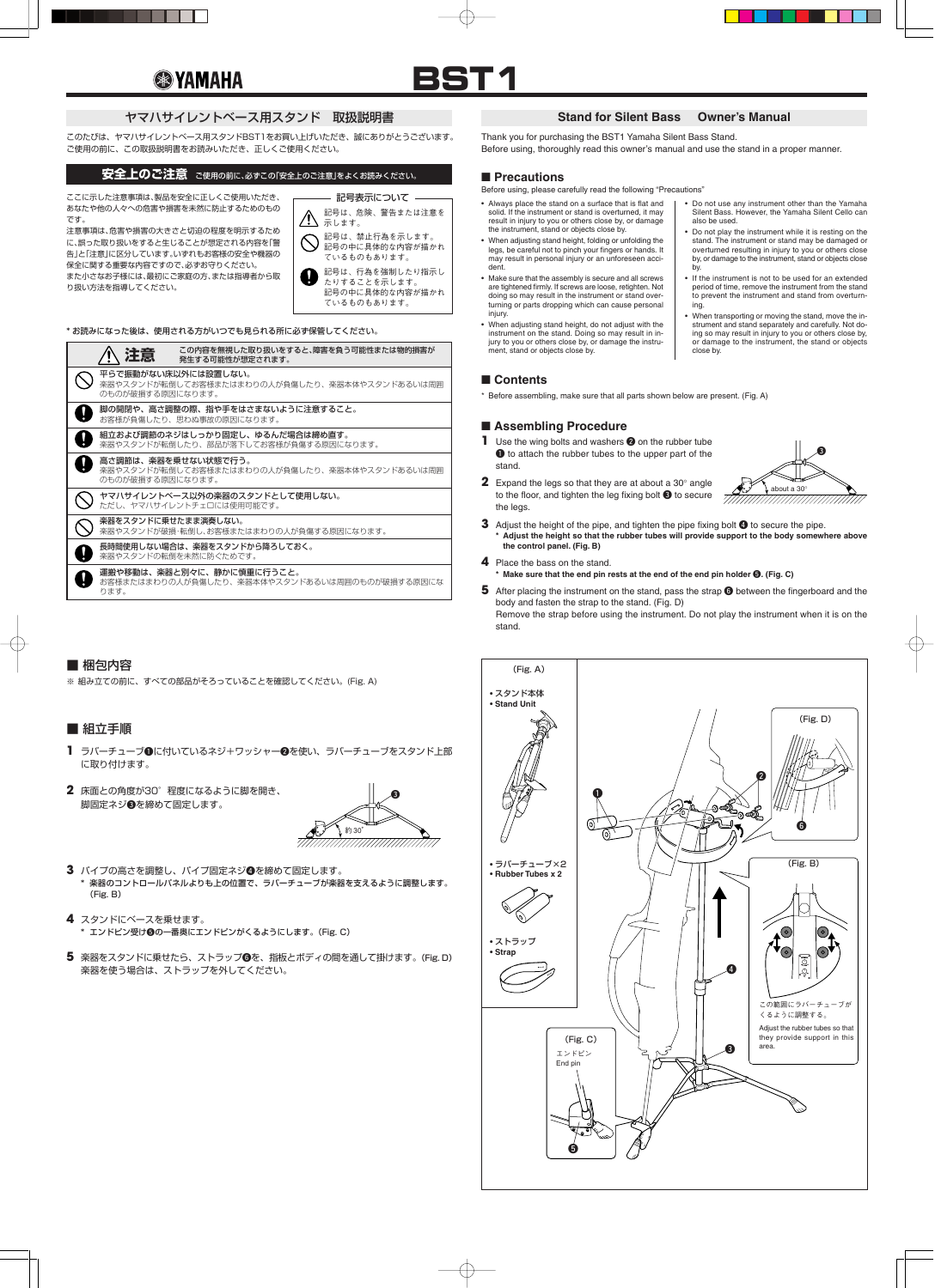# **<sup><sup><sup>3</sup>**</sup> YAMAHA</sub></sup>



このたびは、ヤマハサイレントベース用スタンドBST1をお買い上げいただき、誠にありがとうございます。 ご使用の前に、この取扱説明書をお読みいただき、正しくご使用ください。

ここに示した注意事項は、製品を安全に正しくご使用いただき、 あなたや他の人々への危害や損害を未然に防止するためのもの です。



注意事項は、危害や損害の大きさと切迫の程度を明示するため に、誤った取り扱いをすると生じることが想定される内容を「警 告」と「注意」に区分しています。いずれもお客様の安全や機器の 保全に関する重要な内容ですので、必ずお守りください。 また小さなお子様には、最初にご家庭の方、または指導者から取 り扱い方法を指導してください。

\* お読みになった後は、使用される方がいつでも見られる所に必ず保管してください。

## **安全上のご注意** ご使用の前に、必ずこの「安全上のご注意」をよくお読みください。

# ヤマハサイレントベース用スタンド 取扱説明書

**5** 楽器をスタンドに乗せたら、ストラップ❻を、指板とボディの間を通して掛けます。(Fig. D) 楽器を使う場合は、ストラップを外してください。

| 主意                                                                                       | この内容を無視した取り扱いをすると、障害を負う可能性または物的損害が<br>発牛する可能性が想定されます。                      |
|------------------------------------------------------------------------------------------|----------------------------------------------------------------------------|
| 平らで振動がない床以外には設置しない。<br>楽器やスタンドが転倒してお客様またはまわりの人が負傷したり、楽器本体やスタンドあるいは周囲<br>のものが破損する原因になります。 |                                                                            |
| 脚の開閉や、高さ調整の際、指や手をはさまないように注意すること。<br>お客様が負傷したり、思わぬ事故の原因になります。                             |                                                                            |
| 組立および調節のネジはしっかり固定し、ゆるんだ場合は締め直す。<br>楽器やスタンドが転倒したり、部品が落下してお客様が負傷する原因になります。                 |                                                                            |
| のものが破損する原因になります。                                                                         | 高さ調節は、楽器を乗せない状態で行う。<br>楽器やスタンドが転倒してお客様またはまわりの人が負傷したり、楽器本体やスタンドあるいは周囲       |
|                                                                                          | ヤマハサイレントベース以外の楽器のスタンドとして使用しない。<br>ただし、ヤマハサイレントチェロには使用可能です。                 |
| 楽器をスタンドに乗せたまま演奏しない。                                                                      | 楽器やスタンドが破損・転倒し、お客様またはまわりの人が負傷する原因になります。                                    |
|                                                                                          | 長時間使用しない場合は、楽器をスタンドから降ろしておく。<br>楽器やスタンドの転倒を未然に防ぐためです。                      |
| ります。                                                                                     | 運搬や移動は、楽器と別々に、静かに慎重に行うこと。<br>お客様またはまわりの人が負傷したり、楽器本体やスタンドあるいは周囲のものが破損する原因にな |

## ■ 梱包内容

- **1** Use the wing bolts and washers **2** on the rubber tube  $\bullet$  to attach the rubber tubes to the upper part of the stand.
- **2** Expand the legs so that they are at about a 30° angle to the floor, and tighten the leg fixing bolt  $\bigcirc$  to secure the legs.

- **3** Adjust the height of the pipe, and tighten the pipe fixing bolt  $\bullet$  to secure the pipe. **\* Adjust the height so that the rubber tubes will provide support to the body somewhere above the control panel. (Fig. B)**
- **4** Place the bass on the stand. **\* Make sure that the end pin rests at the end of the end pin holder** t**. (Fig. C)**
- **5** After placing the instrument on the stand, pass the strap **O** between the fingerboard and the body and fasten the strap to the stand. (Fig. D) Remove the strap before using the instrument. Do not play the instrument when it is on the

※ 組み立ての前に、すべての部品がそろっていることを確認してください。(Fig. A)

## ■ 組立手順

- **1** ラバーチューブ❶に付いているネジ+ワッシャー❷を使い、ラバーチューブをスタンド上部 に取り付けます。
- **2** 床面との角度が30°程度になるように脚を開き、 脚固定ネジ®を締めて固定します。



- **3** パイプの高さを調整し、パイプ固定ネジ❹を締めて固定します。 \* 楽器のコントロールパネルよりも上の位置で、ラバーチューブが楽器を支えるように調整します。 (Fig. B)
- **4** スタンドにベースを乗せます。 \* エンドピン受け600-番奥にエンドピンがくるようにします。(Fig. C)
- 

Thank you for purchasing the BST1 Yamaha Silent Bass Stand. Before using, thoroughly read this owner's manual and use the stand in a proper manner.

#### ■ **Precautions**

#### **Stand for Silent Bass Owner's Manual**

stand.

\* Before assembling, make sure that all parts shown below are present. (Fig. A)

#### ■ **Assembling Procedure**



Before using, please carefully read the following "Precautions"

- Always place the stand on a surface that is flat and solid. If the instrument or stand is overturned, it may result in injury to you or others close by, or damage the instrument, stand or objects close by.
- When adjusting stand height, folding or unfolding the legs, be careful not to pinch your fingers or hands. It may result in personal injury or an unforeseen accident.
- Make sure that the assembly is secure and all screws are tightened firmly. If screws are loose, retighten. Not doing so may result in the instrument or stand overturning or parts dropping which can cause personal injury.
- When adjusting stand height, do not adjust with the instrument on the stand. Doing so may result in injury to you or others close by, or damage the instrument, stand or objects close by.
- Do not use any instrument other than the Yamaha Silent Bass. However, the Yamaha Silent Cello can also be used.
- Do not play the instrument while it is resting on the stand. The instrument or stand may be damaged or overturned resulting in injury to you or others close by, or damage to the instrument, stand or objects close by.
- If the instrument is not to be used for an extended period of time, remove the instrument from the stand to prevent the instrument and stand from overturning.
- When transporting or moving the stand, move the instrument and stand separately and carefully. Not doing so may result in injury to you or others close by, or damage to the instrument, the stand or objects close by.

# ■ **Contents**